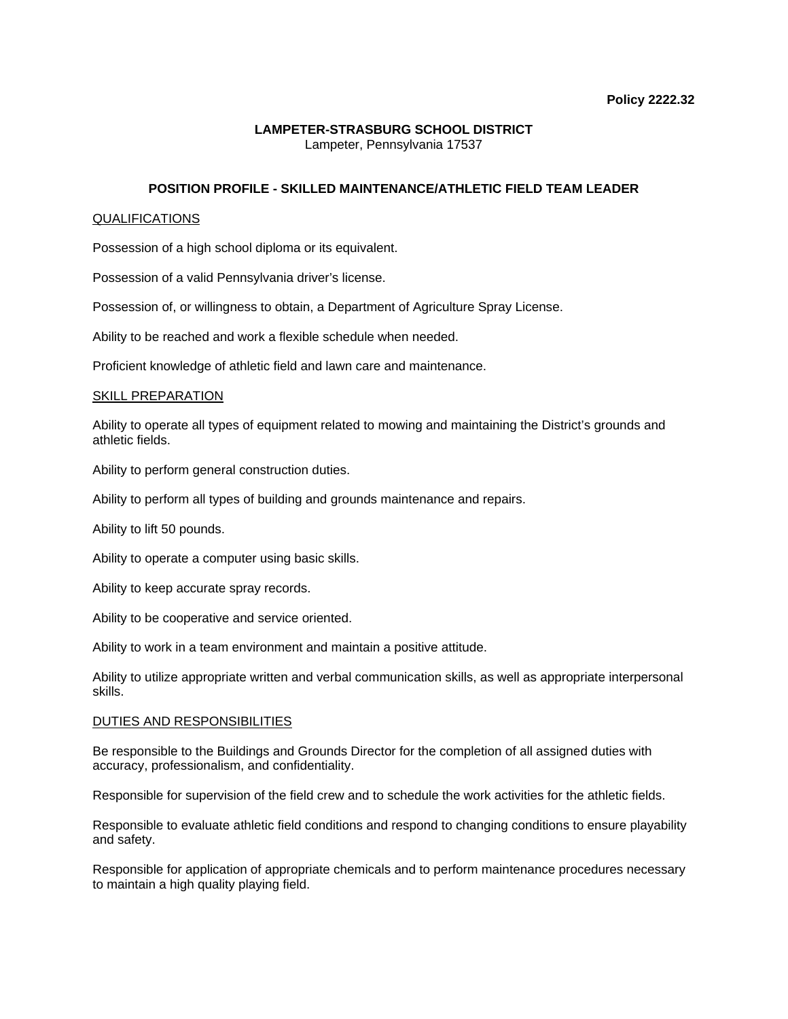## **LAMPETER-STRASBURG SCHOOL DISTRICT**  Lampeter, Pennsylvania 17537

# **POSITION PROFILE - SKILLED MAINTENANCE/ATHLETIC FIELD TEAM LEADER**

### QUALIFICATIONS

Possession of a high school diploma or its equivalent.

Possession of a valid Pennsylvania driver's license.

Possession of, or willingness to obtain, a Department of Agriculture Spray License.

Ability to be reached and work a flexible schedule when needed.

Proficient knowledge of athletic field and lawn care and maintenance.

#### SKILL PREPARATION

Ability to operate all types of equipment related to mowing and maintaining the District's grounds and athletic fields.

Ability to perform general construction duties.

Ability to perform all types of building and grounds maintenance and repairs.

Ability to lift 50 pounds.

Ability to operate a computer using basic skills.

Ability to keep accurate spray records.

Ability to be cooperative and service oriented.

Ability to work in a team environment and maintain a positive attitude.

Ability to utilize appropriate written and verbal communication skills, as well as appropriate interpersonal skills.

## DUTIES AND RESPONSIBILITIES

Be responsible to the Buildings and Grounds Director for the completion of all assigned duties with accuracy, professionalism, and confidentiality.

Responsible for supervision of the field crew and to schedule the work activities for the athletic fields.

Responsible to evaluate athletic field conditions and respond to changing conditions to ensure playability and safety.

Responsible for application of appropriate chemicals and to perform maintenance procedures necessary to maintain a high quality playing field.